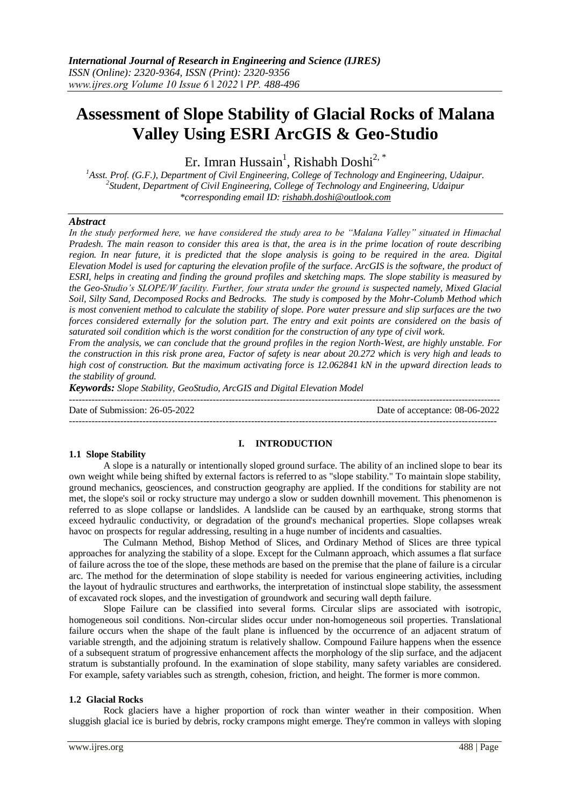# **Assessment of Slope Stability of Glacial Rocks of Malana Valley Using ESRI ArcGIS & Geo-Studio**

Er. Imran Hussain<sup>1</sup>, Rishabh Doshi<sup>2, \*</sup>

*<sup>1</sup>Asst. Prof. (G.F.), Department of Civil Engineering, College of Technology and Engineering, Udaipur. 2 Student, Department of Civil Engineering, College of Technology and Engineering, Udaipur \*corresponding email ID: rishabh.doshi@outlook.com*

### *Abstract*

*In the study performed here, we have considered the study area to be "Malana Valley" situated in Himachal Pradesh. The main reason to consider this area is that, the area is in the prime location of route describing region. In near future, it is predicted that the slope analysis is going to be required in the area. Digital Elevation Model is used for capturing the elevation profile of the surface. ArcGIS is the software, the product of ESRI, helps in creating and finding the ground profiles and sketching maps. The slope stability is measured by the Geo-Studio's SLOPE/W facility. Further, four strata under the ground is suspected namely, Mixed Glacial Soil, Silty Sand, Decomposed Rocks and Bedrocks. The study is composed by the Mohr-Columb Method which is most convenient method to calculate the stability of slope. Pore water pressure and slip surfaces are the two forces considered externally for the solution part. The entry and exit points are considered on the basis of saturated soil condition which is the worst condition for the construction of any type of civil work.*

*From the analysis, we can conclude that the ground profiles in the region North-West, are highly unstable. For the construction in this risk prone area, Factor of safety is near about 20.272 which is very high and leads to high cost of construction. But the maximum activating force is 12.062841 kN in the upward direction leads to the stability of ground.*

*Keywords: Slope Stability, GeoStudio, ArcGIS and Digital Elevation Model*

--------------------------------------------------------------------------------------------------------------------------------------

--------------------------------------------------------------------------------------------------------------------------------------- Date of Submission: 26-05-2022 Date of acceptance: 08-06-2022

# **1.1 Slope Stability**

## **I. INTRODUCTION**

A slope is a naturally or intentionally sloped ground surface. The ability of an inclined slope to bear its own weight while being shifted by external factors is referred to as "slope stability." To maintain slope stability, ground mechanics, geosciences, and construction geography are applied. If the conditions for stability are not met, the slope's soil or rocky structure may undergo a slow or sudden downhill movement. This phenomenon is referred to as slope collapse or landslides. A landslide can be caused by an earthquake, strong storms that exceed hydraulic conductivity, or degradation of the ground's mechanical properties. Slope collapses wreak havoc on prospects for regular addressing, resulting in a huge number of incidents and casualties.

The Culmann Method, Bishop Method of Slices, and Ordinary Method of Slices are three typical approaches for analyzing the stability of a slope. Except for the Culmann approach, which assumes a flat surface of failure across the toe of the slope, these methods are based on the premise that the plane of failure is a circular arc. The method for the determination of slope stability is needed for various engineering activities, including the layout of hydraulic structures and earthworks, the interpretation of instinctual slope stability, the assessment of excavated rock slopes, and the investigation of groundwork and securing wall depth failure.

Slope Failure can be classified into several forms. Circular slips are associated with isotropic, homogeneous soil conditions. Non-circular slides occur under non-homogeneous soil properties. Translational failure occurs when the shape of the fault plane is influenced by the occurrence of an adjacent stratum of variable strength, and the adjoining stratum is relatively shallow. Compound Failure happens when the essence of a subsequent stratum of progressive enhancement affects the morphology of the slip surface, and the adjacent stratum is substantially profound. In the examination of slope stability, many safety variables are considered. For example, safety variables such as strength, cohesion, friction, and height. The former is more common.

### **1.2 Glacial Rocks**

Rock glaciers have a higher proportion of rock than winter weather in their composition. When sluggish glacial ice is buried by debris, rocky crampons might emerge. They're common in valleys with sloping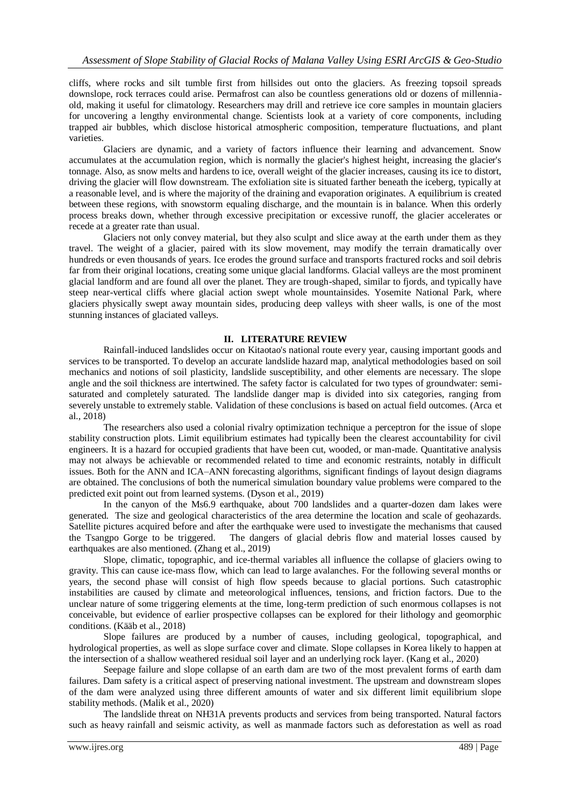cliffs, where rocks and silt tumble first from hillsides out onto the glaciers. As freezing topsoil spreads downslope, rock terraces could arise. Permafrost can also be countless generations old or dozens of millenniaold, making it useful for climatology. Researchers may drill and retrieve ice core samples in mountain glaciers for uncovering a lengthy environmental change. Scientists look at a variety of core components, including trapped air bubbles, which disclose historical atmospheric composition, temperature fluctuations, and plant varieties.

Glaciers are dynamic, and a variety of factors influence their learning and advancement. Snow accumulates at the accumulation region, which is normally the glacier's highest height, increasing the glacier's tonnage. Also, as snow melts and hardens to ice, overall weight of the glacier increases, causing its ice to distort, driving the glacier will flow downstream. The exfoliation site is situated farther beneath the iceberg, typically at a reasonable level, and is where the majority of the draining and evaporation originates. A equilibrium is created between these regions, with snowstorm equaling discharge, and the mountain is in balance. When this orderly process breaks down, whether through excessive precipitation or excessive runoff, the glacier accelerates or recede at a greater rate than usual.

Glaciers not only convey material, but they also sculpt and slice away at the earth under them as they travel. The weight of a glacier, paired with its slow movement, may modify the terrain dramatically over hundreds or even thousands of years. Ice erodes the ground surface and transports fractured rocks and soil debris far from their original locations, creating some unique glacial landforms. Glacial valleys are the most prominent glacial landform and are found all over the planet. They are trough-shaped, similar to fjords, and typically have steep near-vertical cliffs where glacial action swept whole mountainsides. Yosemite National Park, where glaciers physically swept away mountain sides, producing deep valleys with sheer walls, is one of the most stunning instances of glaciated valleys.

### **II. LITERATURE REVIEW**

Rainfall-induced landslides occur on Kitaotao's national route every year, causing important goods and services to be transported. To develop an accurate landslide hazard map, analytical methodologies based on soil mechanics and notions of soil plasticity, landslide susceptibility, and other elements are necessary. The slope angle and the soil thickness are intertwined. The safety factor is calculated for two types of groundwater: semisaturated and completely saturated. The landslide danger map is divided into six categories, ranging from severely unstable to extremely stable. Validation of these conclusions is based on actual field outcomes. (Arca et al., 2018)

The researchers also used a colonial rivalry optimization technique a perceptron for the issue of slope stability construction plots. Limit equilibrium estimates had typically been the clearest accountability for civil engineers. It is a hazard for occupied gradients that have been cut, wooded, or man-made. Quantitative analysis may not always be achievable or recommended related to time and economic restraints, notably in difficult issues. Both for the ANN and ICA–ANN forecasting algorithms, significant findings of layout design diagrams are obtained. The conclusions of both the numerical simulation boundary value problems were compared to the predicted exit point out from learned systems. (Dyson et al., 2019)

In the canyon of the Ms6.9 earthquake, about 700 landslides and a quarter-dozen dam lakes were generated. The size and geological characteristics of the area determine the location and scale of geohazards. Satellite pictures acquired before and after the earthquake were used to investigate the mechanisms that caused the Tsangpo Gorge to be triggered. The dangers of glacial debris flow and material losses caused by earthquakes are also mentioned. (Zhang et al., 2019)

Slope, climatic, topographic, and ice-thermal variables all influence the collapse of glaciers owing to gravity. This can cause ice-mass flow, which can lead to large avalanches. For the following several months or years, the second phase will consist of high flow speeds because to glacial portions. Such catastrophic instabilities are caused by climate and meteorological influences, tensions, and friction factors. Due to the unclear nature of some triggering elements at the time, long-term prediction of such enormous collapses is not conceivable, but evidence of earlier prospective collapses can be explored for their lithology and geomorphic conditions. (Kääb et al., 2018)

Slope failures are produced by a number of causes, including geological, topographical, and hydrological properties, as well as slope surface cover and climate. Slope collapses in Korea likely to happen at the intersection of a shallow weathered residual soil layer and an underlying rock layer. (Kang et al., 2020)

Seepage failure and slope collapse of an earth dam are two of the most prevalent forms of earth dam failures. Dam safety is a critical aspect of preserving national investment. The upstream and downstream slopes of the dam were analyzed using three different amounts of water and six different limit equilibrium slope stability methods. (Malik et al., 2020)

The landslide threat on NH31A prevents products and services from being transported. Natural factors such as heavy rainfall and seismic activity, as well as manmade factors such as deforestation as well as road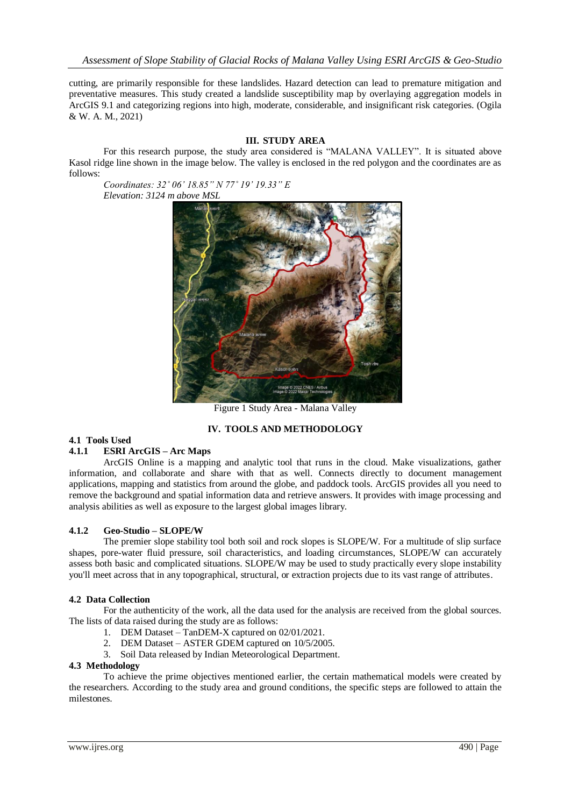cutting, are primarily responsible for these landslides. Hazard detection can lead to premature mitigation and preventative measures. This study created a landslide susceptibility map by overlaying aggregation models in ArcGIS 9.1 and categorizing regions into high, moderate, considerable, and insignificant risk categories. (Ogila & W. A. M., 2021)

### **III. STUDY AREA**

For this research purpose, the study area considered is "MALANA VALLEY". It is situated above Kasol ridge line shown in the image below. The valley is enclosed in the red polygon and the coordinates are as follows:

*Coordinates: 32˚ 06' 18.85" N 77˚ 19' 19.33" E Elevation: 3124 m above MSL*



Figure 1 Study Area - Malana Valley

# **IV. TOOLS AND METHODOLOGY**

### **4.1 Tools Used**

### **4.1.1 ESRI ArcGIS – Arc Maps**

ArcGIS Online is a mapping and analytic tool that runs in the cloud. Make visualizations, gather information, and collaborate and share with that as well. Connects directly to document management applications, mapping and statistics from around the globe, and paddock tools. ArcGIS provides all you need to remove the background and spatial information data and retrieve answers. It provides with image processing and analysis abilities as well as exposure to the largest global images library.

#### **4.1.2 Geo-Studio – SLOPE/W**

The premier slope stability tool both soil and rock slopes is SLOPE/W. For a multitude of slip surface shapes, pore-water fluid pressure, soil characteristics, and loading circumstances, SLOPE/W can accurately assess both basic and complicated situations. SLOPE/W may be used to study practically every slope instability you'll meet across that in any topographical, structural, or extraction projects due to its vast range of attributes.

#### **4.2 Data Collection**

For the authenticity of the work, all the data used for the analysis are received from the global sources. The lists of data raised during the study are as follows:

- 1. DEM Dataset TanDEM-X captured on 02/01/2021.
- 2. DEM Dataset ASTER GDEM captured on 10/5/2005.
- 3. Soil Data released by Indian Meteorological Department.

### **4.3 Methodology**

To achieve the prime objectives mentioned earlier, the certain mathematical models were created by the researchers. According to the study area and ground conditions, the specific steps are followed to attain the milestones.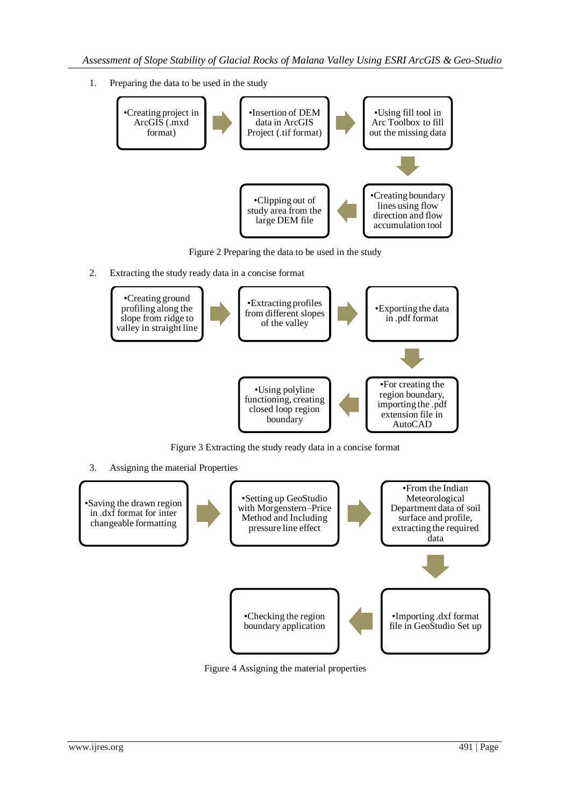1. Preparing the data to be used in the study



Figure 2 Preparing the data to be used in the study

2. Extracting the study ready data in a concise format



Figure 3 Extracting the study ready data in a concise format

3. Assigning the material Properties



Figure 4 Assigning the material properties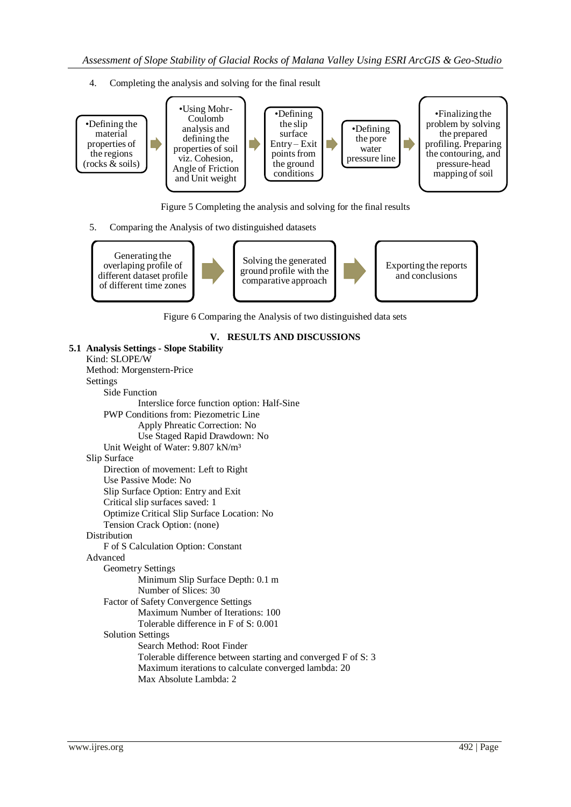4. Completing the analysis and solving for the final result



Figure 5 Completing the analysis and solving for the final results

5. Comparing the Analysis of two distinguished datasets

Generating the overlaping profile of different dataset profile of different time zones

Solving the generated ground profile with the comparative approach

Exporting the reports and conclusions

Figure 6 Comparing the Analysis of two distinguished data sets

# **V. RESULTS AND DISCUSSIONS**

```
5.1 Analysis Settings - Slope Stability
Kind: SLOPE/W
Method: Morgenstern-Price
Settings
    Side Function
             Interslice force function option: Half-Sine
    PWP Conditions from: Piezometric Line
             Apply Phreatic Correction: No
             Use Staged Rapid Drawdown: No
    Unit Weight of Water: 9.807 kN/m³
Slip Surface
    Direction of movement: Left to Right
    Use Passive Mode: No
    Slip Surface Option: Entry and Exit
    Critical slip surfaces saved: 1
    Optimize Critical Slip Surface Location: No
    Tension Crack Option: (none)
Distribution
    F of S Calculation Option: Constant
Advanced
    Geometry Settings
             Minimum Slip Surface Depth: 0.1 m
            Number of Slices: 30
    Factor of Safety Convergence Settings
             Maximum Number of Iterations: 100
             Tolerable difference in F of S: 0.001
    Solution Settings
             Search Method: Root Finder
             Tolerable difference between starting and converged F of S: 3
             Maximum iterations to calculate converged lambda: 20
             Max Absolute Lambda: 2
```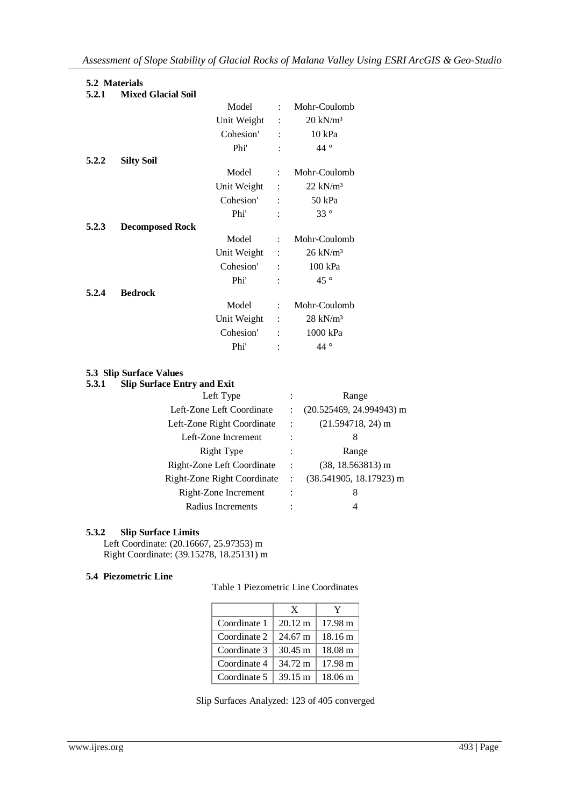# **5.2 Materials**

|       | vis widiging              |             |                           |                     |
|-------|---------------------------|-------------|---------------------------|---------------------|
| 5.2.1 | <b>Mixed Glacial Soil</b> |             |                           |                     |
|       |                           | Model       | $\ddot{\phantom{a}}$      | Mohr-Coulomb        |
|       |                           | Unit Weight | $\ddot{\cdot}$            | $20 \text{ kN/m}^3$ |
|       |                           | Cohesion'   |                           | 10 kPa              |
|       |                           | Phi'        |                           | 44 $\degree$        |
| 5.2.2 | <b>Silty Soil</b>         |             |                           |                     |
|       |                           | Model       | $\mathbb{R}^{\mathbb{Z}}$ | Mohr-Coulomb        |
|       |                           | Unit Weight | $\cdot$                   | $22 \text{ kN/m}^3$ |
|       |                           | Cohesion'   | $\ddot{\cdot}$            | 50 kPa              |
|       |                           | Phi'        | $\ddot{\cdot}$            | $33^{\circ}$        |
| 5.2.3 | <b>Decomposed Rock</b>    |             |                           |                     |

| 5.4.3 | Decomposed Rock |             |                      |                     |
|-------|-----------------|-------------|----------------------|---------------------|
|       |                 | Model       | $\mathcal{L}$        | Mohr-Coulomb        |
|       |                 | Unit Weight | $\ddot{\phantom{a}}$ | $26 \text{ kN/m}^3$ |
|       |                 | Cohesion'   | $\ddot{\cdot}$       | $100$ kPa           |
|       |                 | Phi'        | $\ddot{\cdot}$       | 45 $^{\circ}$       |
| 5.2.4 | <b>Bedrock</b>  |             |                      |                     |
|       |                 | Model       | $\mathcal{L}$        | Mohr-Coulomb        |
|       |                 | Unit Weight | $\sim$ 1             | $28 \text{ kN/m}^3$ |
|       |                 | Cohesion'   | $\ddot{\cdot}$       | 1000 kPa            |

## **5.3 Slip Surface Values**

# **5.3.1 Slip Surface Entry and Exit** Left Type : Range Left-Zone Left Coordinate : (20.525469, 24.994943) m Left-Zone Right Coordinate : (21.594718, 24) m Left-Zone Increment : 8 Right Type : Range Right-Zone Left Coordinate : (38, 18.563813) m Right-Zone Right Coordinate : (38.541905, 18.17923) m Right-Zone Increment : 8 Radius Increments : 4

Phi' : 44 °

## **5.3.2 Slip Surface Limits**

Left Coordinate: (20.16667, 25.97353) m Right Coordinate: (39.15278, 18.25131) m

## **5.4 Piezometric Line**

Table 1 Piezometric Line Coordinates

|              | X                 | Y                 |
|--------------|-------------------|-------------------|
| Coordinate 1 | $20.12 \text{ m}$ | $17.98 \text{ m}$ |
| Coordinate 2 | $24.67 \text{ m}$ | 18.16 m           |
| Coordinate 3 | $30.45 \text{ m}$ | $18.08 \text{ m}$ |
| Coordinate 4 | 34.72 m           | $17.98 \text{ m}$ |
| Coordinate 5 | $39.15 \text{ m}$ | $18.06 \text{ m}$ |

Slip Surfaces Analyzed: 123 of 405 converged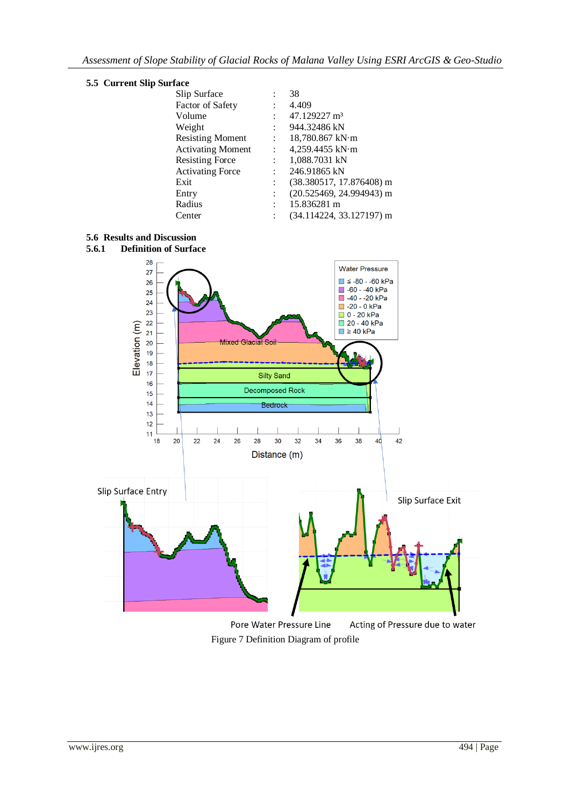

| ace                      |                |                            |
|--------------------------|----------------|----------------------------|
| Slip Surface             |                | 38                         |
| Factor of Safety         |                | 4.409                      |
| Volume                   |                | 47.129227 m <sup>3</sup>   |
| Weight                   |                | 944.32486 kN               |
| <b>Resisting Moment</b>  | $1 - 1$        | 18,780.867 kN·m            |
| <b>Activating Moment</b> | $\mathcal{L}$  | 4,259.4455 kN $\cdot$ m    |
| <b>Resisting Force</b>   | $\mathcal{L}$  | 1,088.7031 kN              |
| <b>Activating Force</b>  | $\ddot{\cdot}$ | 246.91865 kN               |
| Exit                     |                | $(38.380517, 17.876408)$ m |
| Entry                    | $\ddot{\cdot}$ | $(20.525469, 24.994943)$ m |
| Radius                   |                | 15.836281 m                |
| Center                   |                | $(34.114224, 33.127197)$ m |
|                          |                |                            |

**5.6 Results and Discussion**



Figure 7 Definition Diagram of profile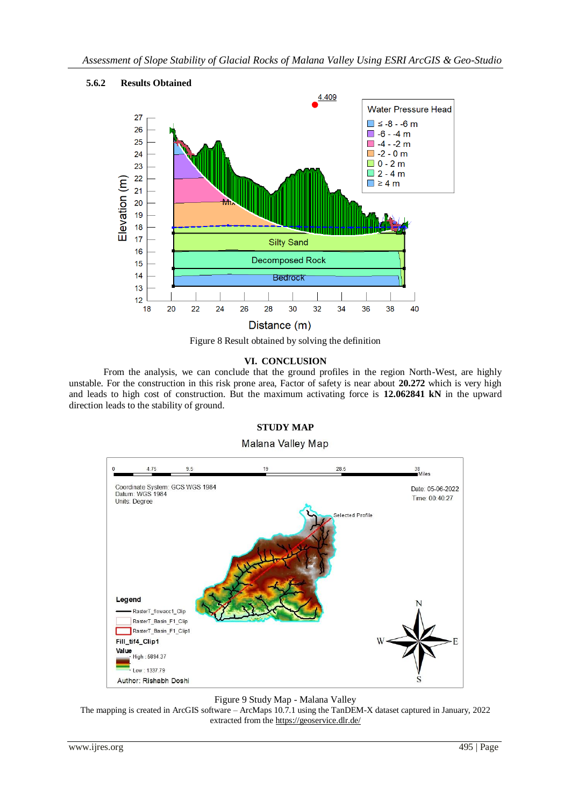

# **5.6.2 Results Obtained**



### **VI. CONCLUSION**

From the analysis, we can conclude that the ground profiles in the region North-West, are highly unstable. For the construction in this risk prone area, Factor of safety is near about **20.272** which is very high and leads to high cost of construction. But the maximum activating force is **12.062841 kN** in the upward direction leads to the stability of ground.

### **STUDY MAP**

### Malana Valley Map



#### Figure 9 Study Map - Malana Valley

The mapping is created in ArcGIS software – ArcMaps 10.7.1 using the TanDEM-X dataset captured in January, 2022 extracted from th[e https://geoservice.dlr.de/](https://geoservice.dlr.de/)